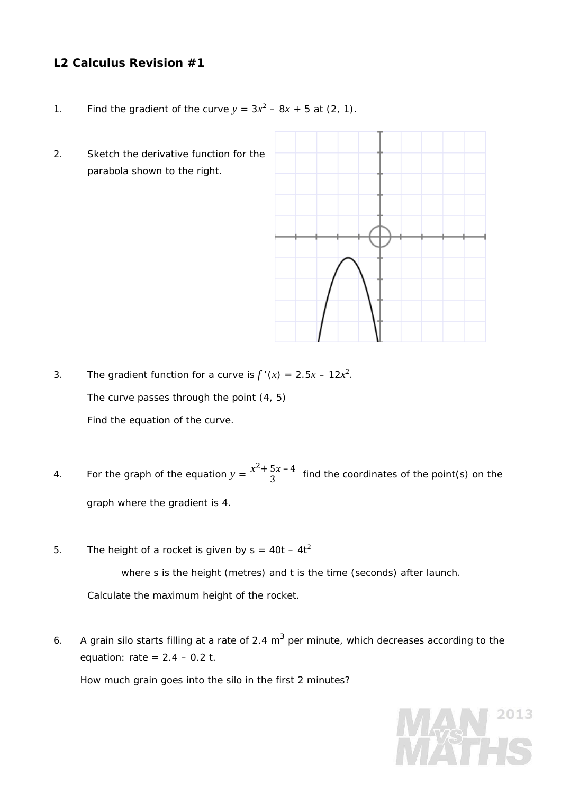## **L2 Calculus Revision #1**

- 1. Find the gradient of the curve  $y = 3x^2 8x + 5$  at (2, 1).
- 2. Sketch the derivative function for the parabola shown to the right.



- 3. The gradient function for a curve is  $f'(x) = 2.5x 12x^2$ . The curve passes through the point (4, 5) Find the equation of the curve.
- 4. For the graph of the equation  $y = \frac{x^2 + 5x 4}{3}$  find the coordinates of the point(s) on the graph where the gradient is 4.
- 5. The height of a rocket is given by  $s = 40t 4t^2$ where *s* is the height (metres) and *t* is the time (seconds) after launch. Calculate the ma*x*imum height of the rocket.
- 6. A grain silo starts filling at a rate of 2.4 m<sup>3</sup> per minute, which decreases according to the equation: rate = 2.4 – 0.2 *t*.

How much grain goes into the silo in the first 2 minutes?